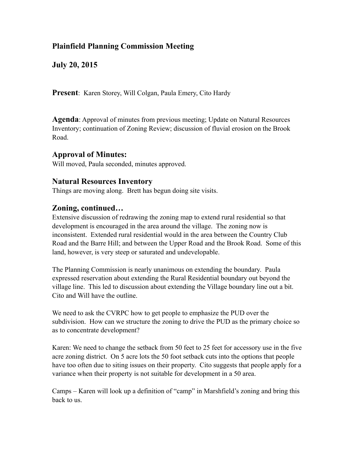# **Plainfield Planning Commission Meeting**

**July 20, 2015**

**Present**: Karen Storey, Will Colgan, Paula Emery, Cito Hardy

**Agenda**: Approval of minutes from previous meeting; Update on Natural Resources Inventory; continuation of Zoning Review; discussion of fluvial erosion on the Brook Road.

## **Approval of Minutes:**

Will moved, Paula seconded, minutes approved.

## **Natural Resources Inventory**

Things are moving along. Brett has begun doing site visits.

## **Zoning, continued…**

Extensive discussion of redrawing the zoning map to extend rural residential so that development is encouraged in the area around the village. The zoning now is inconsistent. Extended rural residential would in the area between the Country Club Road and the Barre Hill; and between the Upper Road and the Brook Road. Some of this land, however, is very steep or saturated and undevelopable.

The Planning Commission is nearly unanimous on extending the boundary. Paula expressed reservation about extending the Rural Residential boundary out beyond the village line. This led to discussion about extending the Village boundary line out a bit. Cito and Will have the outline.

We need to ask the CVRPC how to get people to emphasize the PUD over the subdivision. How can we structure the zoning to drive the PUD as the primary choice so as to concentrate development?

Karen: We need to change the setback from 50 feet to 25 feet for accessory use in the five acre zoning district. On 5 acre lots the 50 foot setback cuts into the options that people have too often due to siting issues on their property. Cito suggests that people apply for a variance when their property is not suitable for development in a 50 area.

Camps – Karen will look up a definition of "camp" in Marshfield's zoning and bring this back to us.